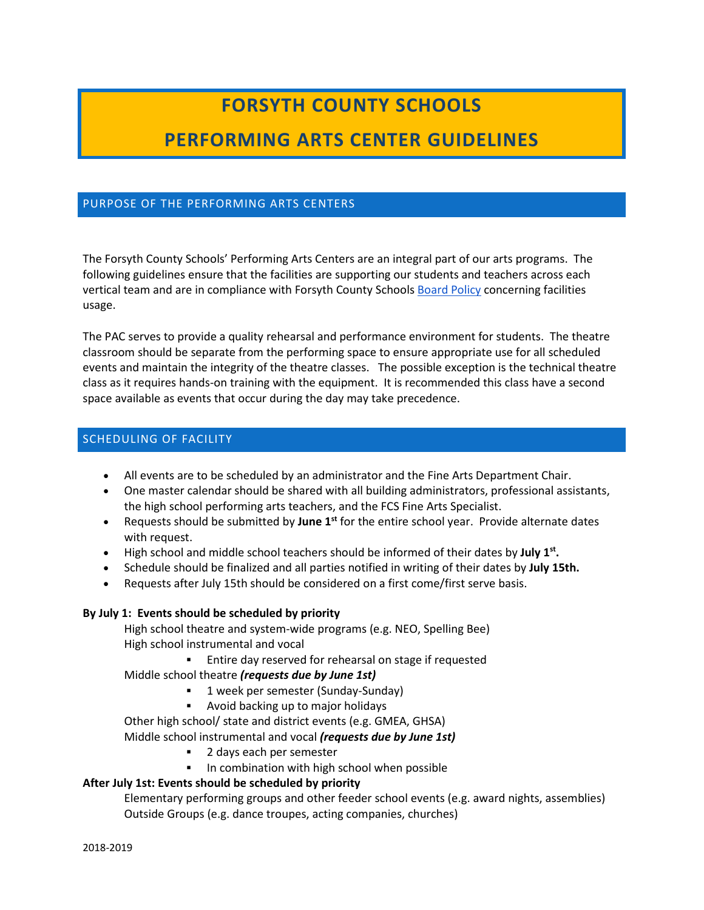# **FORSYTH COUNTY SCHOOLS**

## **PERFORMING ARTS CENTER GUIDELINES**

#### PURPOSE OF THE PERFORMING ARTS CENTERS

The Forsyth County Schools' Performing Arts Centers are an integral part of our arts programs. The following guidelines ensure that the facilities are supporting our students and teachers across each vertical team and are in compliance with Forsyth County Schools [Board Policy](https://simbli.eboardsolutions.com/ePolicy/policy.aspx?PC=KG&Sch=4069&S=4069&C=K&RevNo=1.01&T=A&Z=P) concerning facilities usage.

The PAC serves to provide a quality rehearsal and performance environment for students. The theatre classroom should be separate from the performing space to ensure appropriate use for all scheduled events and maintain the integrity of the theatre classes. The possible exception is the technical theatre class as it requires hands-on training with the equipment. It is recommended this class have a second space available as events that occur during the day may take precedence.

#### SCHEDULING OF FACILITY

- All events are to be scheduled by an administrator and the Fine Arts Department Chair.
- One master calendar should be shared with all building administrators, professional assistants, the high school performing arts teachers, and the FCS Fine Arts Specialist.
- Requests should be submitted by **June 1st** for the entire school year. Provide alternate dates with request.
- High school and middle school teachers should be informed of their dates by **July 1st.**
- Schedule should be finalized and all parties notified in writing of their dates by **July 15th.**
- Requests after July 15th should be considered on a first come/first serve basis.

#### **By July 1: Events should be scheduled by priority**

High school theatre and system-wide programs (e.g. NEO, Spelling Bee) High school instrumental and vocal

Entire day reserved for rehearsal on stage if requested

#### Middle school theatre *(requests due by June 1st)*

- **1** week per semester (Sunday-Sunday)
- Avoid backing up to major holidays

Other high school/ state and district events (e.g. GMEA, GHSA)

Middle school instrumental and vocal *(requests due by June 1st)*

- 2 days each per semester
- **IF** In combination with high school when possible

#### **After July 1st: Events should be scheduled by priority**

Elementary performing groups and other feeder school events (e.g. award nights, assemblies) Outside Groups (e.g. dance troupes, acting companies, churches)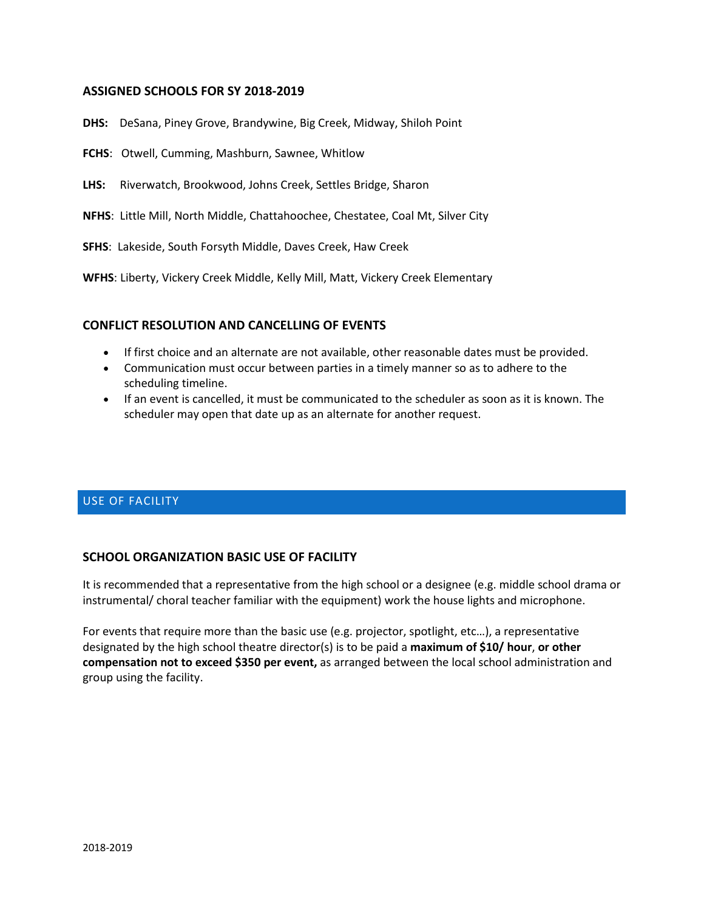#### **ASSIGNED SCHOOLS FOR SY 2018-2019**

- **DHS:** DeSana, Piney Grove, Brandywine, Big Creek, Midway, Shiloh Point
- **FCHS**: Otwell, Cumming, Mashburn, Sawnee, Whitlow
- **LHS:** Riverwatch, Brookwood, Johns Creek, Settles Bridge, Sharon
- **NFHS**: Little Mill, North Middle, Chattahoochee, Chestatee, Coal Mt, Silver City
- **SFHS**: Lakeside, South Forsyth Middle, Daves Creek, Haw Creek

**WFHS**: Liberty, Vickery Creek Middle, Kelly Mill, Matt, Vickery Creek Elementary

#### **CONFLICT RESOLUTION AND CANCELLING OF EVENTS**

- If first choice and an alternate are not available, other reasonable dates must be provided.
- Communication must occur between parties in a timely manner so as to adhere to the scheduling timeline.
- If an event is cancelled, it must be communicated to the scheduler as soon as it is known. The scheduler may open that date up as an alternate for another request.

#### USE OF FACILITY

#### **SCHOOL ORGANIZATION BASIC USE OF FACILITY**

It is recommended that a representative from the high school or a designee (e.g. middle school drama or instrumental/ choral teacher familiar with the equipment) work the house lights and microphone.

For events that require more than the basic use (e.g. projector, spotlight, etc…), a representative designated by the high school theatre director(s) is to be paid a **maximum of \$10/ hour**, **or other compensation not to exceed \$350 per event,** as arranged between the local school administration and group using the facility.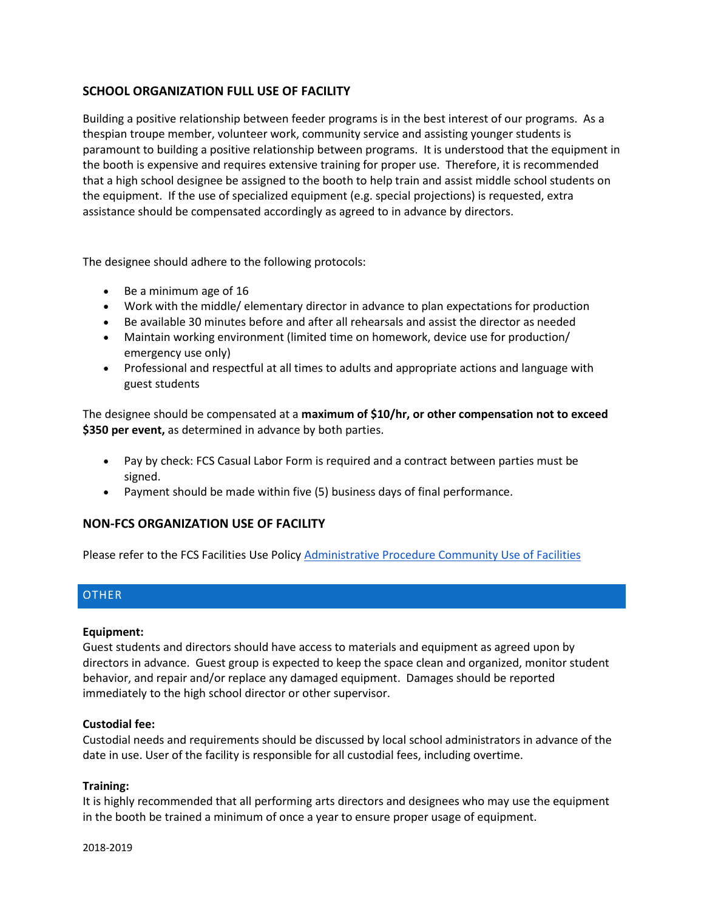#### **SCHOOL ORGANIZATION FULL USE OF FACILITY**

Building a positive relationship between feeder programs is in the best interest of our programs. As a thespian troupe member, volunteer work, community service and assisting younger students is paramount to building a positive relationship between programs. It is understood that the equipment in the booth is expensive and requires extensive training for proper use. Therefore, it is recommended that a high school designee be assigned to the booth to help train and assist middle school students on the equipment. If the use of specialized equipment (e.g. special projections) is requested, extra assistance should be compensated accordingly as agreed to in advance by directors.

The designee should adhere to the following protocols:

- Be a minimum age of 16
- Work with the middle/ elementary director in advance to plan expectations for production
- Be available 30 minutes before and after all rehearsals and assist the director as needed
- Maintain working environment (limited time on homework, device use for production/ emergency use only)
- Professional and respectful at all times to adults and appropriate actions and language with guest students

The designee should be compensated at a **maximum of \$10/hr, or other compensation not to exceed \$350 per event,** as determined in advance by both parties.

- Pay by check: FCS Casual Labor Form is required and a contract between parties must be signed.
- Payment should be made within five (5) business days of final performance.

#### **NON-FCS ORGANIZATION USE OF FACILITY**

Please refer to the FCS Facilities Use Polic[y Administrative Procedure Community Use of Facilities](http://www.forsyth.k12.ga.us/cms/lib3/GA01000373/Centricity/Domain/24/Facility%20Use%20Package%20Revised%20November%202012.pdf)

#### **OTHER**

#### **Equipment:**

Guest students and directors should have access to materials and equipment as agreed upon by directors in advance. Guest group is expected to keep the space clean and organized, monitor student behavior, and repair and/or replace any damaged equipment. Damages should be reported immediately to the high school director or other supervisor.

#### **Custodial fee:**

Custodial needs and requirements should be discussed by local school administrators in advance of the date in use. User of the facility is responsible for all custodial fees, including overtime.

#### **Training:**

It is highly recommended that all performing arts directors and designees who may use the equipment in the booth be trained a minimum of once a year to ensure proper usage of equipment.